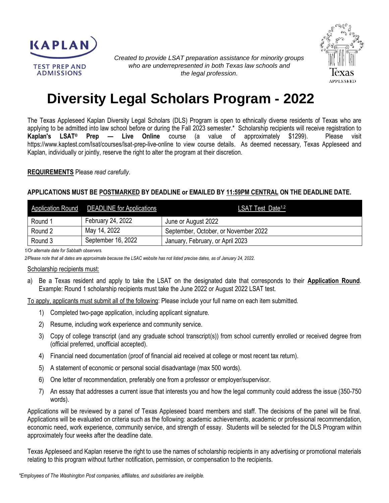



*Created to provide LSAT preparation assistance for minority groups who are underrepresented in both Texas law schools and the legal profession.*

# **Diversity Legal Scholars Program - 2022**

The Texas Appleseed Kaplan Diversity Legal Scholars (DLS) Program is open to ethnically diverse residents of Texas who are applying to be admitted into law school before or during the Fall 2023 semester.\* Scholarship recipients will receive registration to **Kaplan's LSAT® Prep — Live Online** course (a value of approximately \$1299). Please visit https://www.kaptest.com/lsat/courses/lsat-prep-live-online to view course details. As deemed necessary, Texas Appleseed and Kaplan, individually or jointly, reserve the right to alter the program at their discretion.

#### **REQUIREMENTS** Please *read carefully*.

#### **APPLICATIONS MUST BE POSTMARKED BY DEADLINE or EMAILED BY 11:59PM CENTRAL ON THE DEADLINE DATE.**

|         | Application Round DEADLINE for Applications | LSAT Test Date <sup>1,2</sup>        |
|---------|---------------------------------------------|--------------------------------------|
| Round 1 | February 24, 2022                           | June or August 2022                  |
| Round 2 | May 14, 2022                                | September, October, or November 2022 |
| Round 3 | September 16, 2022                          | January, February, or April 2023     |

*1/Or alternate date for Sabbath observers.*

*2/Please note that all dates are approximate because the LSAC website has not listed precise dates, as of January 24, 2022.*

#### Scholarship recipients must:

a) Be a Texas resident and apply to take the LSAT on the designated date that corresponds to their **Application Round**. Example: Round 1 scholarship recipients must take the June 2022 or August 2022 LSAT test.

To apply, applicants must submit all of the following: Please include your full name on each item submitted.

- 1) Completed two-page application, including applicant signature.
- 2) Resume, including work experience and community service.
- 3) Copy of college transcript (and any graduate school transcript(s)) from school currently enrolled or received degree from (official preferred, unofficial accepted).
- 4) Financial need documentation (proof of financial aid received at college or most recent tax return).
- 5) A statement of economic or personal social disadvantage (max 500 words).
- 6) One letter of recommendation, preferably one from a professor or employer/supervisor.
- 7) An essay that addresses a current issue that interests you and how the legal community could address the issue (350-750 words).

Applications will be reviewed by a panel of Texas Appleseed board members and staff. The decisions of the panel will be final. Applications will be evaluated on criteria such as the following: academic achievements, academic or professional recommendation, economic need, work experience, community service, and strength of essay. Students will be selected for the DLS Program within approximately four weeks after the deadline date.

Texas Appleseed and Kaplan reserve the right to use the names of scholarship recipients in any advertising or promotional materials relating to this program without further notification, permission, or compensation to the recipients.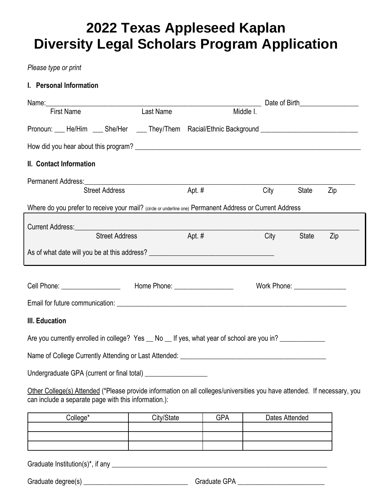# **2022 Texas Appleseed Kaplan Diversity Legal Scholars Program Application**

## *Please type or print*

## **I. Personal Information**

|                                                                                                                                                                                  |           |           |                                                   |              | Date of Birth <b>Exercise 1999</b> |  |  |  |  |
|----------------------------------------------------------------------------------------------------------------------------------------------------------------------------------|-----------|-----------|---------------------------------------------------|--------------|------------------------------------|--|--|--|--|
| <b>First Name</b>                                                                                                                                                                | Last Name | Middle I. |                                                   |              |                                    |  |  |  |  |
| Pronoun: ___ He/Him ___ She/Her ____ They/Them Racial/Ethnic Background ___________________________                                                                              |           |           |                                                   |              |                                    |  |  |  |  |
|                                                                                                                                                                                  |           |           |                                                   |              |                                    |  |  |  |  |
| II. Contact Information                                                                                                                                                          |           |           |                                                   |              |                                    |  |  |  |  |
|                                                                                                                                                                                  |           |           |                                                   |              |                                    |  |  |  |  |
| <b>Street Address</b>                                                                                                                                                            |           | Apt. $#$  | City                                              | <b>State</b> | Zip                                |  |  |  |  |
| Where do you prefer to receive your mail? (circle or underline one) Permanent Address or Current Address                                                                         |           |           |                                                   |              |                                    |  |  |  |  |
| Current Address: University of the Current Address:                                                                                                                              |           |           |                                                   |              |                                    |  |  |  |  |
| <b>Street Address</b>                                                                                                                                                            |           | Apt. #    | City                                              | <b>State</b> | Zip                                |  |  |  |  |
|                                                                                                                                                                                  |           |           |                                                   |              |                                    |  |  |  |  |
|                                                                                                                                                                                  |           |           |                                                   |              |                                    |  |  |  |  |
| Cell Phone: ___________________________  Home Phone: ___________________________                                                                                                 |           |           | Work Phone: New York Discovery Management Control |              |                                    |  |  |  |  |
|                                                                                                                                                                                  |           |           |                                                   |              |                                    |  |  |  |  |
| III. Education                                                                                                                                                                   |           |           |                                                   |              |                                    |  |  |  |  |
| Are you currently enrolled in college? Yes __ No __ If yes, what year of school are you in? ____________                                                                         |           |           |                                                   |              |                                    |  |  |  |  |
|                                                                                                                                                                                  |           |           |                                                   |              |                                    |  |  |  |  |
| Undergraduate GPA (current or final total) ____________________                                                                                                                  |           |           |                                                   |              |                                    |  |  |  |  |
| Other College(s) Attended (*Please provide information on all colleges/universities you have attended. If necessary, you<br>can include a separate page with this information.): |           |           |                                                   |              |                                    |  |  |  |  |

| <sup>n</sup> ollone* | City/State | GPA | Dates Attended |  |  |
|----------------------|------------|-----|----------------|--|--|
|                      |            |     |                |  |  |
|                      |            |     |                |  |  |
|                      |            |     |                |  |  |

Graduate Institution(s)\*, if any \_\_\_\_\_\_\_\_\_\_\_\_\_\_\_\_\_\_\_\_\_\_\_\_\_\_\_\_\_\_\_\_\_\_\_\_\_\_\_\_\_\_\_\_\_\_\_\_\_\_\_\_\_\_\_\_\_\_\_\_\_\_

Graduate degree(s) \_\_\_\_\_\_\_\_\_\_\_\_\_\_\_\_\_\_\_\_\_\_\_\_\_\_\_\_\_\_ Graduate GPA \_\_\_\_\_\_\_\_\_\_\_\_\_\_\_\_\_\_\_\_\_\_\_\_\_